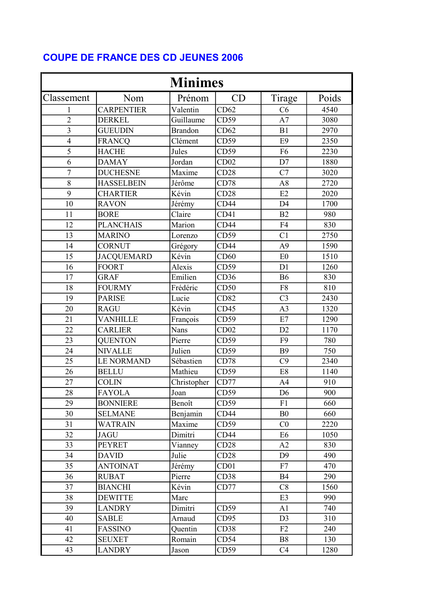## COUPE DE FRANCE DES CD JEUNES 2006

| <b>Minimes</b>          |                   |                |                  |                |       |  |  |  |
|-------------------------|-------------------|----------------|------------------|----------------|-------|--|--|--|
| Classement              | Nom               | Prénom         | CD               | Tirage         | Poids |  |  |  |
| 1                       | <b>CARPENTIER</b> | Valentin       | CD62             | C6             | 4540  |  |  |  |
| $\overline{2}$          | <b>DERKEL</b>     | Guillaume      | CD59             | A7             | 3080  |  |  |  |
| $\overline{\mathbf{3}}$ | <b>GUEUDIN</b>    | <b>Brandon</b> | CD62             | B1             | 2970  |  |  |  |
| $\overline{4}$          | <b>FRANCQ</b>     | Clément        | CD59             | E <sub>9</sub> | 2350  |  |  |  |
| 5                       | <b>HACHE</b>      | Jules          | CD59             | F <sub>6</sub> | 2230  |  |  |  |
| 6                       | <b>DAMAY</b>      | Jordan         | CD02             | D7             | 1880  |  |  |  |
| $\overline{7}$          | <b>DUCHESNE</b>   | Maxime         | CD28             | C7             | 3020  |  |  |  |
| 8                       | <b>HASSELBEIN</b> | Jérôme         | CD78             | A8             | 2720  |  |  |  |
| 9                       | <b>CHARTIER</b>   | Kévin          | CD28             | E2             | 2020  |  |  |  |
| 10                      | <b>RAVON</b>      | Jérémy         | CD44             | D <sub>4</sub> | 1700  |  |  |  |
| 11                      | <b>BORE</b>       | Claire         | CD41             | B2             | 980   |  |  |  |
| 12                      | <b>PLANCHAIS</b>  | Marion         | CD44             | F <sub>4</sub> | 830   |  |  |  |
| 13                      | <b>MARINO</b>     | Lorenzo        | CD59             | C <sub>1</sub> | 2750  |  |  |  |
| 14                      | <b>CORNUT</b>     | Grégory        | CD44             | A <sub>9</sub> | 1590  |  |  |  |
| 15                      | <b>JACQUEMARD</b> | Kévin          | CD60             | E0             | 1510  |  |  |  |
| 16                      | <b>FOORT</b>      | Alexis         | CD59             | D1             | 1260  |  |  |  |
| 17                      | <b>GRAF</b>       | Emilien        | CD36             | <b>B6</b>      | 830   |  |  |  |
| 18                      | <b>FOURMY</b>     | Frédéric       | CD50             | F8             | 810   |  |  |  |
| 19                      | <b>PARISE</b>     | Lucie          | CD82             | C <sub>3</sub> | 2430  |  |  |  |
| 20                      | <b>RAGU</b>       | Kévin          | CD45             | A <sub>3</sub> | 1320  |  |  |  |
| 21                      | <b>VANHILLE</b>   | François       | CD59             | E7             | 1290  |  |  |  |
| 22                      | <b>CARLIER</b>    | Nans           | CD02             | D2             | 1170  |  |  |  |
| 23                      | <b>QUENTON</b>    | Pierre         | CD59             | F <sub>9</sub> | 780   |  |  |  |
| 24                      | <b>NIVALLE</b>    | Julien         | CD59             | <b>B9</b>      | 750   |  |  |  |
| 25                      | <b>LE NORMAND</b> | Sébastien      | CD78             | C9             | 2340  |  |  |  |
| 26                      | <b>BELLU</b>      | Mathieu        | CD59             | E8             | 1140  |  |  |  |
| 27                      | <b>COLIN</b>      | Christopher    | CD77             | A <sub>4</sub> | 910   |  |  |  |
| 28                      | <b>FAYOLA</b>     | Joan           | CD59             | D <sub>6</sub> | 900   |  |  |  |
| 29                      | <b>BONNIERE</b>   | Benoît         | CD59             | F1             | 660   |  |  |  |
| 30                      | <b>SELMANE</b>    | Benjamin       | CD44             | B <sub>0</sub> | 660   |  |  |  |
| 31                      | WATRAIN           | Maxime         | CD59             | C <sub>0</sub> | 2220  |  |  |  |
| 32                      | <b>JAGU</b>       | Dimitri        | CD44             | E <sub>6</sub> | 1050  |  |  |  |
| 33                      | <b>PEYRET</b>     | Vianney        | CD28             | A2             | 830   |  |  |  |
| 34                      | <b>DAVID</b>      | Julie          | CD28             | D <sub>9</sub> | 490   |  |  |  |
| 35                      | <b>ANTOINAT</b>   | Jérémy         | CD <sub>01</sub> | F7             | 470   |  |  |  |
| 36                      | <b>RUBAT</b>      | Pierre         | CD38             | <b>B4</b>      | 290   |  |  |  |
| 37                      | <b>BIANCHI</b>    | Kévin          | CD77             | C8             | 1560  |  |  |  |
| 38                      | <b>DEWITTE</b>    | Marc           |                  | E3             | 990   |  |  |  |
| 39                      | <b>LANDRY</b>     | Dimitri        | CD59             | A1             | 740   |  |  |  |
| 40                      | <b>SABLE</b>      | Arnaud         | CD95             | D <sub>3</sub> | 310   |  |  |  |
| 41                      | FASSINO           | Quentin        | CD38             | F2             | 240   |  |  |  |
| 42                      | <b>SEUXET</b>     | Romain         | CD54             | B <sub>8</sub> | 130   |  |  |  |
| 43                      | <b>LANDRY</b>     | Jason          | CD59             | C4             | 1280  |  |  |  |